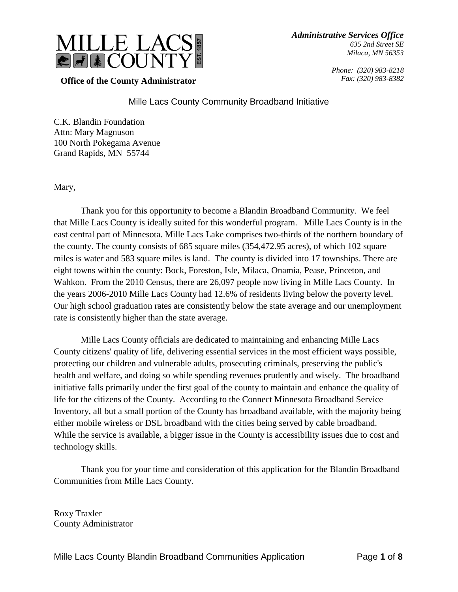

> *Phone: (320) 983-8218 Fax: (320) 983-8382*

**Office of the County Administrator**

# Mille Lacs County Community Broadband Initiative

C.K. Blandin Foundation Attn: Mary Magnuson 100 North Pokegama Avenue Grand Rapids, MN 55744

Mary,

Thank you for this opportunity to become a Blandin Broadband Community. We feel that Mille Lacs County is ideally suited for this wonderful program. Mille Lacs County is in the east central part of Minnesota. Mille Lacs Lake comprises two-thirds of the northern boundary of the county. The county consists of 685 square miles (354,472.95 acres), of which 102 square miles is water and 583 square miles is land. The county is divided into 17 townships. There are eight towns within the county: Bock, Foreston, Isle, Milaca, Onamia, Pease, Princeton, and Wahkon. From the 2010 Census, there are 26,097 people now living in Mille Lacs County. In the years 2006-2010 Mille Lacs County had 12.6% of residents living below the poverty level. Our high school graduation rates are consistently below the state average and our unemployment rate is consistently higher than the state average.

Mille Lacs County officials are dedicated to maintaining and enhancing Mille Lacs County citizens' quality of life, delivering essential services in the most efficient ways possible, protecting our children and vulnerable adults, prosecuting criminals, preserving the public's health and welfare, and doing so while spending revenues prudently and wisely. The broadband initiative falls primarily under the first goal of the county to maintain and enhance the quality of life for the citizens of the County. According to the Connect Minnesota Broadband Service Inventory, all but a small portion of the County has broadband available, with the majority being either mobile wireless or DSL broadband with the cities being served by cable broadband. While the service is available, a bigger issue in the County is accessibility issues due to cost and technology skills.

Thank you for your time and consideration of this application for the Blandin Broadband Communities from Mille Lacs County.

Roxy Traxler County Administrator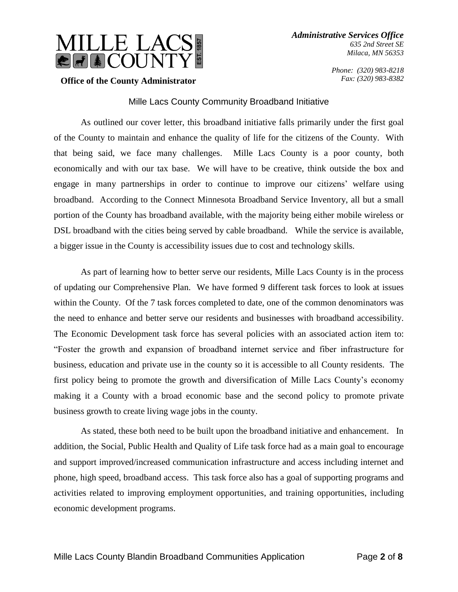

> *Phone: (320) 983-8218 Fax: (320) 983-8382*

### **Office of the County Administrator**

### Mille Lacs County Community Broadband Initiative

As outlined our cover letter, this broadband initiative falls primarily under the first goal of the County to maintain and enhance the quality of life for the citizens of the County. With that being said, we face many challenges. Mille Lacs County is a poor county, both economically and with our tax base. We will have to be creative, think outside the box and engage in many partnerships in order to continue to improve our citizens' welfare using broadband. According to the Connect Minnesota Broadband Service Inventory, all but a small portion of the County has broadband available, with the majority being either mobile wireless or DSL broadband with the cities being served by cable broadband. While the service is available, a bigger issue in the County is accessibility issues due to cost and technology skills.

As part of learning how to better serve our residents, Mille Lacs County is in the process of updating our Comprehensive Plan. We have formed 9 different task forces to look at issues within the County. Of the 7 task forces completed to date, one of the common denominators was the need to enhance and better serve our residents and businesses with broadband accessibility. The Economic Development task force has several policies with an associated action item to: "Foster the growth and expansion of broadband internet service and fiber infrastructure for business, education and private use in the county so it is accessible to all County residents. The first policy being to promote the growth and diversification of Mille Lacs County's economy making it a County with a broad economic base and the second policy to promote private business growth to create living wage jobs in the county.

As stated, these both need to be built upon the broadband initiative and enhancement. In addition, the Social, Public Health and Quality of Life task force had as a main goal to encourage and support improved/increased communication infrastructure and access including internet and phone, high speed, broadband access. This task force also has a goal of supporting programs and activities related to improving employment opportunities, and training opportunities, including economic development programs.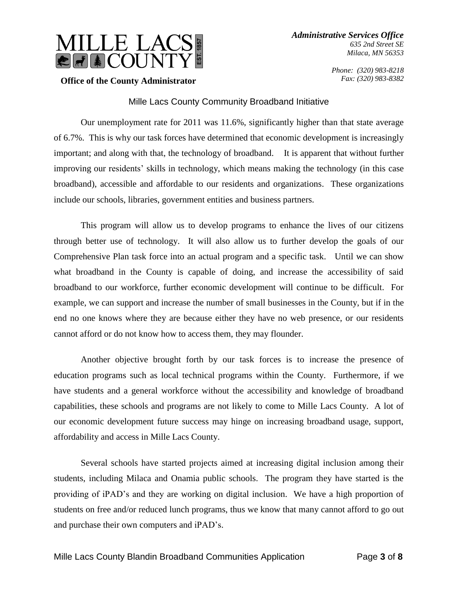

> *Phone: (320) 983-8218 Fax: (320) 983-8382*

### **Office of the County Administrator**

## Mille Lacs County Community Broadband Initiative

Our unemployment rate for 2011 was 11.6%, significantly higher than that state average of 6.7%. This is why our task forces have determined that economic development is increasingly important; and along with that, the technology of broadband. It is apparent that without further improving our residents' skills in technology, which means making the technology (in this case broadband), accessible and affordable to our residents and organizations. These organizations include our schools, libraries, government entities and business partners.

This program will allow us to develop programs to enhance the lives of our citizens through better use of technology. It will also allow us to further develop the goals of our Comprehensive Plan task force into an actual program and a specific task. Until we can show what broadband in the County is capable of doing, and increase the accessibility of said broadband to our workforce, further economic development will continue to be difficult. For example, we can support and increase the number of small businesses in the County, but if in the end no one knows where they are because either they have no web presence, or our residents cannot afford or do not know how to access them, they may flounder.

Another objective brought forth by our task forces is to increase the presence of education programs such as local technical programs within the County. Furthermore, if we have students and a general workforce without the accessibility and knowledge of broadband capabilities, these schools and programs are not likely to come to Mille Lacs County. A lot of our economic development future success may hinge on increasing broadband usage, support, affordability and access in Mille Lacs County.

Several schools have started projects aimed at increasing digital inclusion among their students, including Milaca and Onamia public schools. The program they have started is the providing of iPAD's and they are working on digital inclusion. We have a high proportion of students on free and/or reduced lunch programs, thus we know that many cannot afford to go out and purchase their own computers and iPAD's.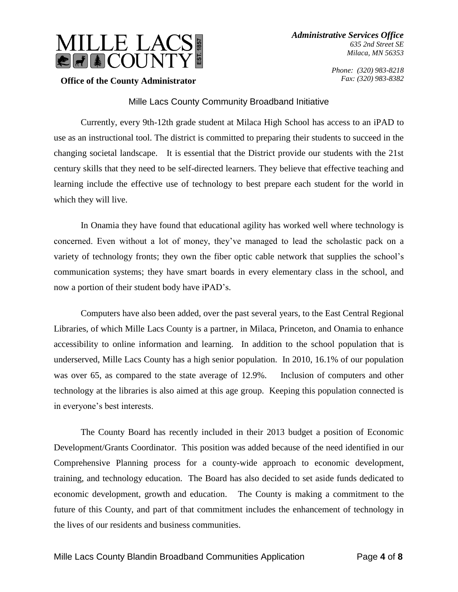



*Phone: (320) 983-8218 Fax: (320) 983-8382*

### **Office of the County Administrator**

## Mille Lacs County Community Broadband Initiative

Currently, every 9th-12th grade student at Milaca High School has access to an iPAD to use as an instructional tool. The district is committed to preparing their students to succeed in the changing societal landscape. It is essential that the District provide our students with the 21st century skills that they need to be self-directed learners. They believe that effective teaching and learning include the effective use of technology to best prepare each student for the world in which they will live.

In Onamia they have found that educational agility has worked well where technology is concerned. Even without a lot of money, they've managed to lead the scholastic pack on a variety of technology fronts; they own the fiber optic cable network that supplies the school's communication systems; they have smart boards in every elementary class in the school, and now a portion of their student body have iPAD's.

Computers have also been added, over the past several years, to the East Central Regional Libraries, of which Mille Lacs County is a partner, in Milaca, Princeton, and Onamia to enhance accessibility to online information and learning. In addition to the school population that is underserved, Mille Lacs County has a high senior population. In 2010, 16.1% of our population was over 65, as compared to the state average of 12.9%. Inclusion of computers and other technology at the libraries is also aimed at this age group. Keeping this population connected is in everyone's best interests.

The County Board has recently included in their 2013 budget a position of Economic Development/Grants Coordinator. This position was added because of the need identified in our Comprehensive Planning process for a county-wide approach to economic development, training, and technology education. The Board has also decided to set aside funds dedicated to economic development, growth and education. The County is making a commitment to the future of this County, and part of that commitment includes the enhancement of technology in the lives of our residents and business communities.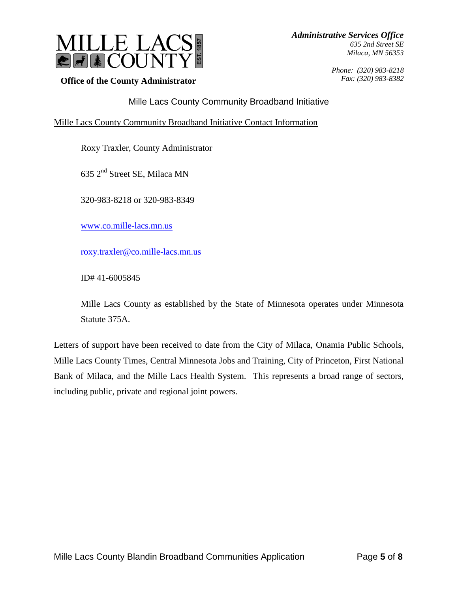

**Office of the County Administrator**

*Phone: (320) 983-8218 Fax: (320) 983-8382*

Mille Lacs County Community Broadband Initiative

# Mille Lacs County Community Broadband Initiative Contact Information

Roxy Traxler, County Administrator

635 2nd Street SE, Milaca MN

320-983-8218 or 320-983-8349

[www.co.mille-lacs.mn.us](http://www.co.mille-lacs.mn.us/)

[roxy.traxler@co.mille-lacs.mn.us](mailto:roxy.traxler@co.mille-lacs.mn.us)

ID# 41-6005845

Mille Lacs County as established by the State of Minnesota operates under Minnesota Statute 375A.

Letters of support have been received to date from the City of Milaca, Onamia Public Schools, Mille Lacs County Times, Central Minnesota Jobs and Training, City of Princeton, First National Bank of Milaca, and the Mille Lacs Health System. This represents a broad range of sectors, including public, private and regional joint powers.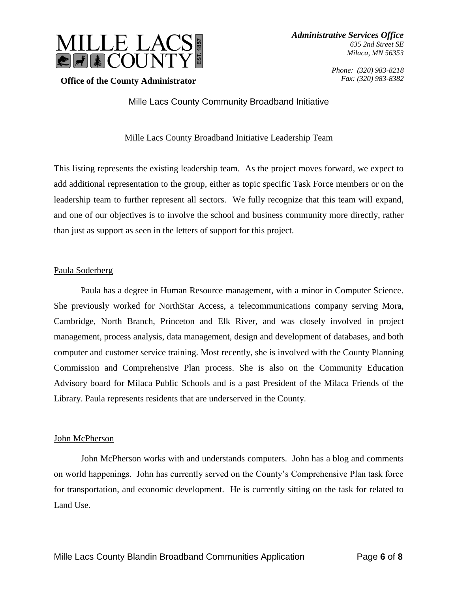

> *Phone: (320) 983-8218 Fax: (320) 983-8382*

## **Office of the County Administrator**

Mille Lacs County Community Broadband Initiative

## Mille Lacs County Broadband Initiative Leadership Team

This listing represents the existing leadership team. As the project moves forward, we expect to add additional representation to the group, either as topic specific Task Force members or on the leadership team to further represent all sectors. We fully recognize that this team will expand, and one of our objectives is to involve the school and business community more directly, rather than just as support as seen in the letters of support for this project.

### Paula Soderberg

Paula has a degree in Human Resource management, with a minor in Computer Science. She previously worked for NorthStar Access, a telecommunications company serving Mora, Cambridge, North Branch, Princeton and Elk River, and was closely involved in project management, process analysis, data management, design and development of databases, and both computer and customer service training. Most recently, she is involved with the County Planning Commission and Comprehensive Plan process. She is also on the Community Education Advisory board for Milaca Public Schools and is a past President of the Milaca Friends of the Library. Paula represents residents that are underserved in the County.

#### John McPherson

John McPherson works with and understands computers. John has a blog and comments on world happenings. John has currently served on the County's Comprehensive Plan task force for transportation, and economic development. He is currently sitting on the task for related to Land Use.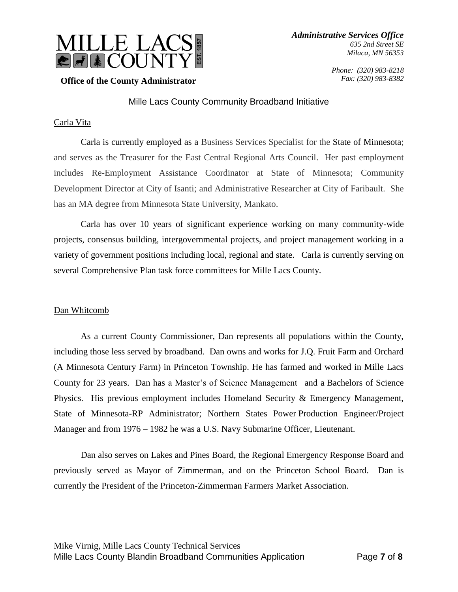

> *Phone: (320) 983-8218 Fax: (320) 983-8382*

## **Office of the County Administrator**

## Mille Lacs County Community Broadband Initiative

## Carla Vita

Carla is currently employed as a Business Services Specialist for the [State of Minnesota;](http://www.linkedin.com/company/state-of-minnesota?trk=ppro_cprof) and serves as the Treasurer for the East Central Regional Arts Council. Her past employment includes Re-Employment Assistance Coordinator at State of Minnesota; Community Development Director at City of Isanti; and Administrative Researcher at City of Faribault. She has an MA degree from Minnesota State University, Mankato.

Carla has over 10 years of significant experience working on many community-wide projects, consensus building, intergovernmental projects, and project management working in a variety of government positions including local, regional and state. Carla is currently serving on several Comprehensive Plan task force committees for Mille Lacs County.

#### Dan Whitcomb

As a current County Commissioner, Dan represents all populations within the County, including those less served by broadband. Dan owns and works for J.Q. Fruit Farm and Orchard (A Minnesota Century Farm) in Princeton Township. He has farmed and worked in Mille Lacs County for 23 years. Dan has a Master's of Science Management and a Bachelors of Science Physics. His previous employment includes Homeland Security & Emergency Management, State of Minnesota-RP Administrator; Northern States Power Production Engineer/Project Manager and from 1976 – 1982 he was a U.S. Navy Submarine Officer, Lieutenant.

Dan also serves on Lakes and Pines Board, the Regional Emergency Response Board and previously served as Mayor of Zimmerman, and on the Princeton School Board. Dan is currently the President of the Princeton-Zimmerman Farmers Market Association.